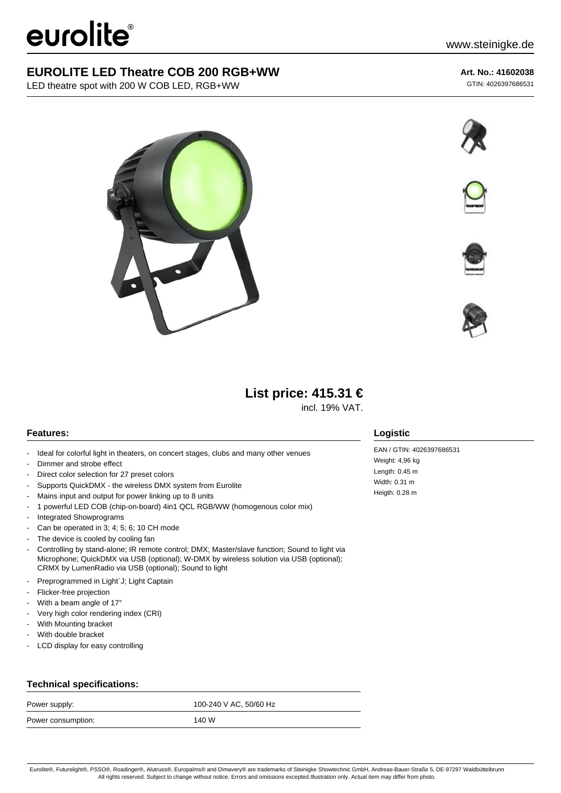# eurolite®

## **EUROLITE LED Theatre COB 200 RGB+WW**

LED theatre spot with 200 W COB LED, RGB+WW

## **Art. No.: 41602038**

GTIN: 4026397686531











## **List price: 415.31 €**

incl. 19% VAT.

## **Features:**

- Ideal for colorful light in theaters, on concert stages, clubs and many other venues
- Dimmer and strobe effect
- Direct color selection for 27 preset colors
- Supports QuickDMX the wireless DMX system from Eurolite
- Mains input and output for power linking up to 8 units
- 1 powerful LED COB (chip-on-board) 4in1 QCL RGB/WW (homogenous color mix)
- Integrated Showprograms
- Can be operated in 3; 4; 5; 6; 10 CH mode
- The device is cooled by cooling fan
- Controlling by stand-alone; IR remote control; DMX; Master/slave function; Sound to light via Microphone; QuickDMX via USB (optional); W-DMX by wireless solution via USB (optional); CRMX by LumenRadio via USB (optional); Sound to light
- Preprogrammed in Light'J; Light Captain
- Flicker-free projection
- With a beam angle of 17°
- Very high color rendering index (CRI)
- With Mounting bracket
- With double bracket
- LCD display for easy controlling

### **Technical specifications:**

| Power supply:      | 100-240 V AC, 50/60 Hz |
|--------------------|------------------------|
| Power consumption: | 140 W                  |

#### **Logistic**

EAN / GTIN: 4026397686531 Weight: 4,96 kg Length: 0.45 m Width: 0.31 m Heigth: 0.28 m

Eurolite®, Futurelight®, PSSO®, Roadinger®, Alutruss®, Europalms® and Dimavery® are trademarks of Steinigke Showtechnic GmbH, Andreas-Bauer-Straße 5, DE-97297 Waldbüttelbrunn All rights reserved. Subject to change without notice. Errors and omissions excepted.Illustration only. Actual item may differ from photo.